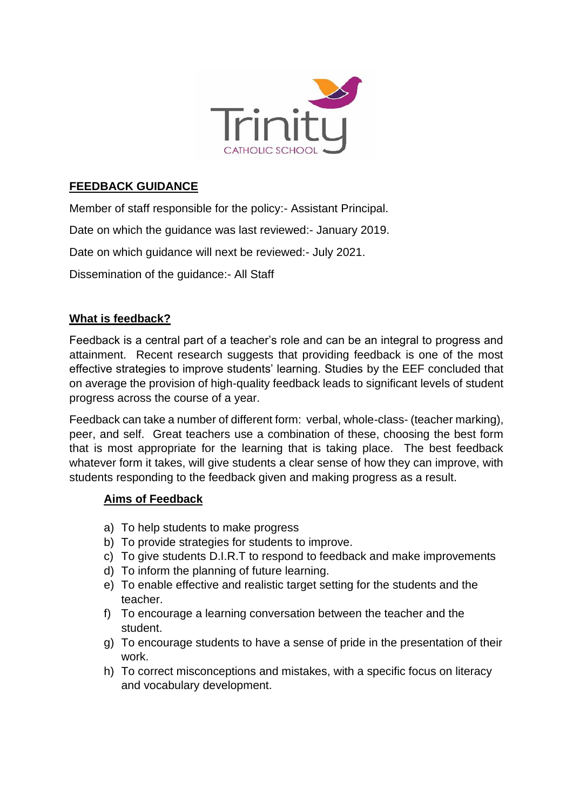

## **FEEDBACK GUIDANCE**

Member of staff responsible for the policy:- Assistant Principal.

Date on which the guidance was last reviewed:- January 2019.

Date on which guidance will next be reviewed:- July 2021.

Dissemination of the guidance:- All Staff

### **What is feedback?**

Feedback is a central part of a teacher's role and can be an integral to progress and attainment. Recent research suggests that providing feedback is one of the most effective strategies to improve students' learning. Studies by the EEF concluded that on average the provision of high-quality feedback leads to significant levels of student progress across the course of a year.

Feedback can take a number of different form: verbal, whole-class- (teacher marking), peer, and self. Great teachers use a combination of these, choosing the best form that is most appropriate for the learning that is taking place. The best feedback whatever form it takes, will give students a clear sense of how they can improve, with students responding to the feedback given and making progress as a result.

### **Aims of Feedback**

- a) To help students to make progress
- b) To provide strategies for students to improve.
- c) To give students D.I.R.T to respond to feedback and make improvements
- d) To inform the planning of future learning.
- e) To enable effective and realistic target setting for the students and the teacher.
- f) To encourage a learning conversation between the teacher and the student.
- g) To encourage students to have a sense of pride in the presentation of their work.
- h) To correct misconceptions and mistakes, with a specific focus on literacy and vocabulary development.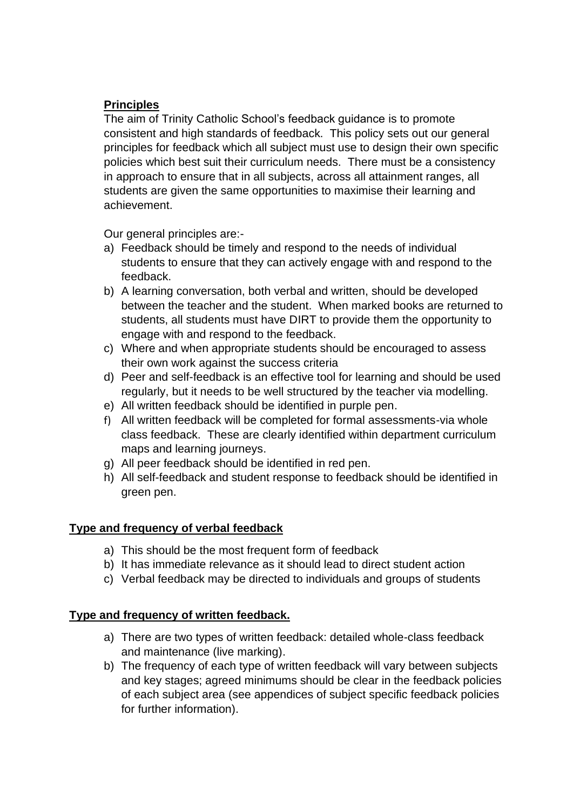# **Principles**

The aim of Trinity Catholic School's feedback guidance is to promote consistent and high standards of feedback. This policy sets out our general principles for feedback which all subject must use to design their own specific policies which best suit their curriculum needs. There must be a consistency in approach to ensure that in all subjects, across all attainment ranges, all students are given the same opportunities to maximise their learning and achievement.

Our general principles are:-

- a) Feedback should be timely and respond to the needs of individual students to ensure that they can actively engage with and respond to the feedback.
- b) A learning conversation, both verbal and written, should be developed between the teacher and the student. When marked books are returned to students, all students must have DIRT to provide them the opportunity to engage with and respond to the feedback.
- c) Where and when appropriate students should be encouraged to assess their own work against the success criteria
- d) Peer and self-feedback is an effective tool for learning and should be used regularly, but it needs to be well structured by the teacher via modelling.
- e) All written feedback should be identified in purple pen.
- f) All written feedback will be completed for formal assessments-via whole class feedback. These are clearly identified within department curriculum maps and learning journeys.
- g) All peer feedback should be identified in red pen.
- h) All self-feedback and student response to feedback should be identified in green pen.

### **Type and frequency of verbal feedback**

- a) This should be the most frequent form of feedback
- b) It has immediate relevance as it should lead to direct student action
- c) Verbal feedback may be directed to individuals and groups of students

### **Type and frequency of written feedback.**

- a) There are two types of written feedback: detailed whole-class feedback and maintenance (live marking).
- b) The frequency of each type of written feedback will vary between subjects and key stages; agreed minimums should be clear in the feedback policies of each subject area (see appendices of subject specific feedback policies for further information).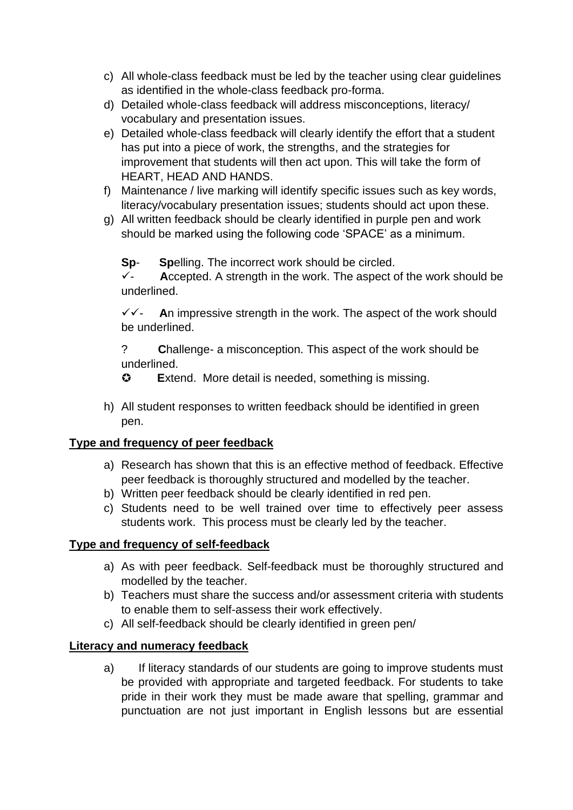- c) All whole-class feedback must be led by the teacher using clear guidelines as identified in the whole-class feedback pro-forma.
- d) Detailed whole-class feedback will address misconceptions, literacy/ vocabulary and presentation issues.
- e) Detailed whole-class feedback will clearly identify the effort that a student has put into a piece of work, the strengths, and the strategies for improvement that students will then act upon. This will take the form of HEART, HEAD AND HANDS.
- f) Maintenance / live marking will identify specific issues such as key words, literacy/vocabulary presentation issues; students should act upon these.
- g) All written feedback should be clearly identified in purple pen and work should be marked using the following code 'SPACE' as a minimum.

**Sp**- **Sp**elling. The incorrect work should be circled.

✓- **A**ccepted. A strength in the work. The aspect of the work should be underlined.

✓✓- **A**n impressive strength in the work. The aspect of the work should be underlined.

? **C**hallenge- a misconception. This aspect of the work should be underlined.

**E**xtend. More detail is needed, something is missing.

h) All student responses to written feedback should be identified in green pen.

### **Type and frequency of peer feedback**

- a) Research has shown that this is an effective method of feedback. Effective peer feedback is thoroughly structured and modelled by the teacher.
- b) Written peer feedback should be clearly identified in red pen.
- c) Students need to be well trained over time to effectively peer assess students work. This process must be clearly led by the teacher.

### **Type and frequency of self-feedback**

- a) As with peer feedback. Self-feedback must be thoroughly structured and modelled by the teacher.
- b) Teachers must share the success and/or assessment criteria with students to enable them to self-assess their work effectively.
- c) All self-feedback should be clearly identified in green pen/

### **Literacy and numeracy feedback**

a) If literacy standards of our students are going to improve students must be provided with appropriate and targeted feedback. For students to take pride in their work they must be made aware that spelling, grammar and punctuation are not just important in English lessons but are essential